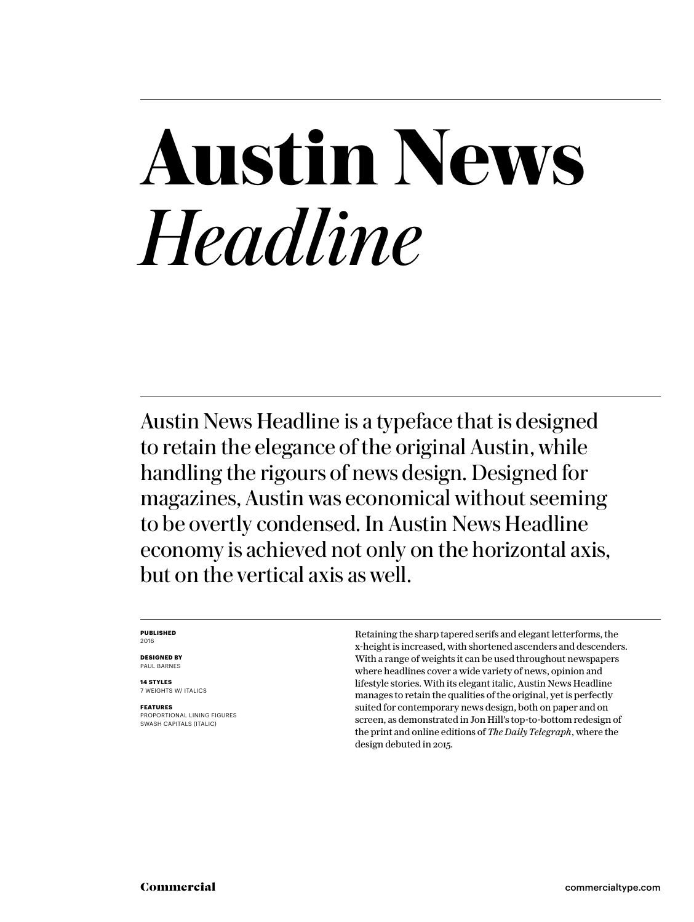# **Austin News** *Headline*

Austin News Headline is a typeface that is designed to retain the elegance of the original Austin, while handling the rigours of news design. Designed for magazines, Austin was economical without seeming to be overtly condensed. In Austin News Headline economy is achieved not only on the horizontal axis, but on the vertical axis as well.

#### **PUBLISHED** 2016

**DESIGNED BY** PAUL BARNES

**14 STYLES** 7 WEIGHTS W/ ITALICS

**FEATURES** PROPORTIONAL LINING FIGURES SWASH CAPITALS (ITALIC)

Retaining the sharp tapered serifs and elegant letterforms, the x-height is increased, with shortened ascenders and descenders. With a range of weights it can be used throughout newspapers where headlines cover a wide variety of news, opinion and lifestyle stories. With its elegant italic, Austin News Headline manages to retain the qualities of the original, yet is perfectly suited for contemporary news design, both on paper and on screen, as demonstrated in Jon Hill's top-to-bottom redesign of the print and online editions of *The Daily Telegraph*, where the design debuted in 2015.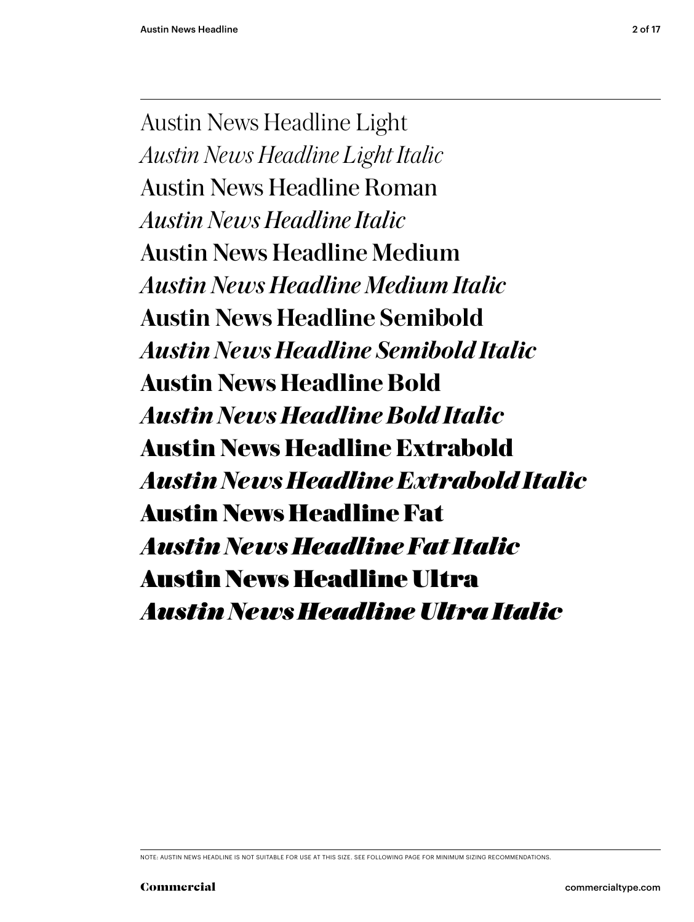Austin News Headline Light *Austin News Headline Light Italic* Austin News Headline Roman *Austin News Headline Italic* Austin News Headline Medium *Austin News Headline Medium Italic* **Austin News Headline Semibold** *Austin News Headline Semibold Italic* **Austin News Headline Bold** *Austin News Headline Bold Italic* **Austin News Headline Extrabold** *Austin News Headline Extrabold Italic* Austin News Headline Fat *Austin News Headline Fat Italic* Austin News Headline Ultra *Austin News Headline Ultra Italic*

NOTE: AUSTIN NEWS HEADLINE IS NOT SUITABLE FOR USE AT THIS SIZE. SEE FOLLOWING PAGE FOR MINIMUM SIZING RECOMMENDATIONS.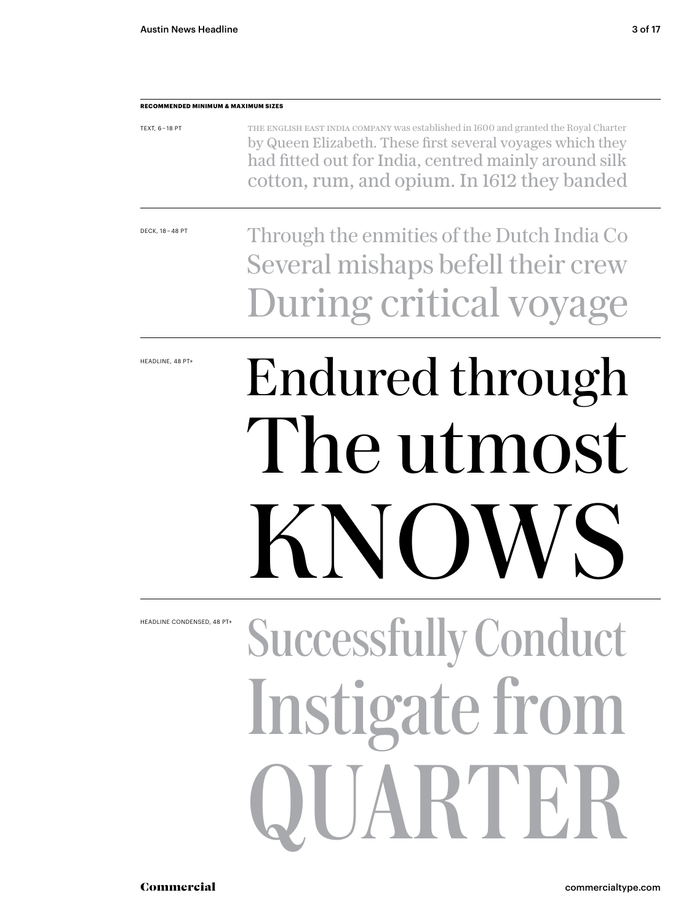#### **RECOMMENDED MINIMUM & MAXIMUM SIZES**

| TEXT, 6-18 PT | THE ENGLISH EAST INDIA COMPANY was established in 1600 and granted the Royal Charter |
|---------------|--------------------------------------------------------------------------------------|
|               | by Queen Elizabeth. These first several voyages which they                           |
|               | had fitted out for India, centred mainly around silk                                 |
|               | cotton, rum, and opium. In 1612 they banded                                          |

DECK, 18 – 48 PT

Through the enmities of the Dutch India Co Several mishaps befell their crew During critical voyage

HEADLINE, 48 PT+

# Endured through The utmost  $\mathsf{K}\,\mathsf{N}$ lowski

Successfully Conduct Instigate from ARTE HEADLINE CONDENSED, 48 PT-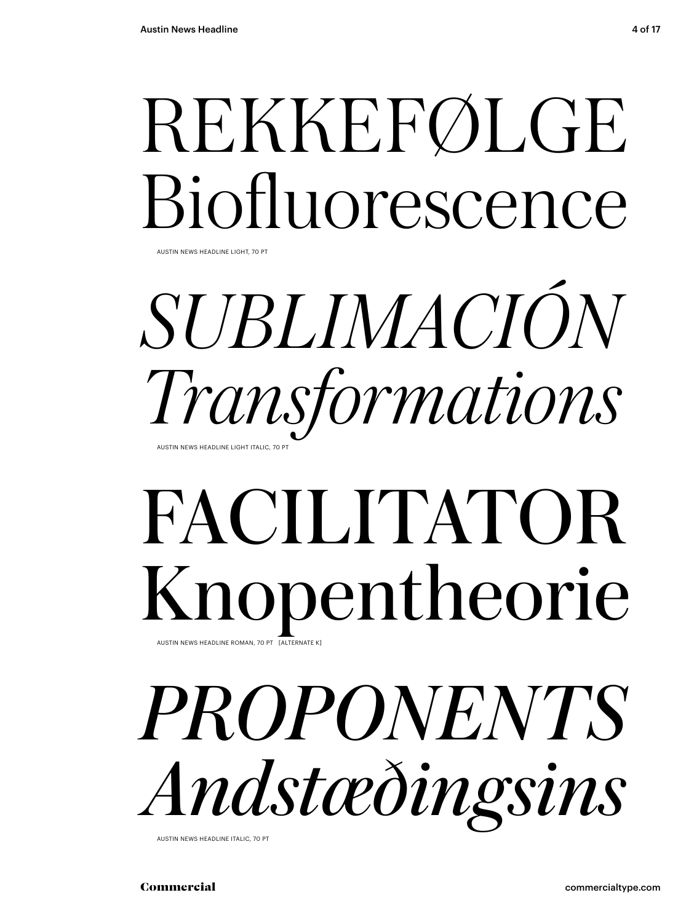# REKKEFØLGE Biofluorescence

AUSTIN NEWS HEADLINE LIGHT, 70 PT

## *SUBLIMACIÓN Transformations* AUSTIN NEWS HEADLINE LIGHT ITALIC, 70 PT

### FACILITATOR Knopentheorie AUSTIN NEWS HEADLINE ROMAN, 70 PT [ALTERNA

*PROPONENTS Andstæðingsins*

AUSTIN NEWS HEADLINE ITALIC, 70 PT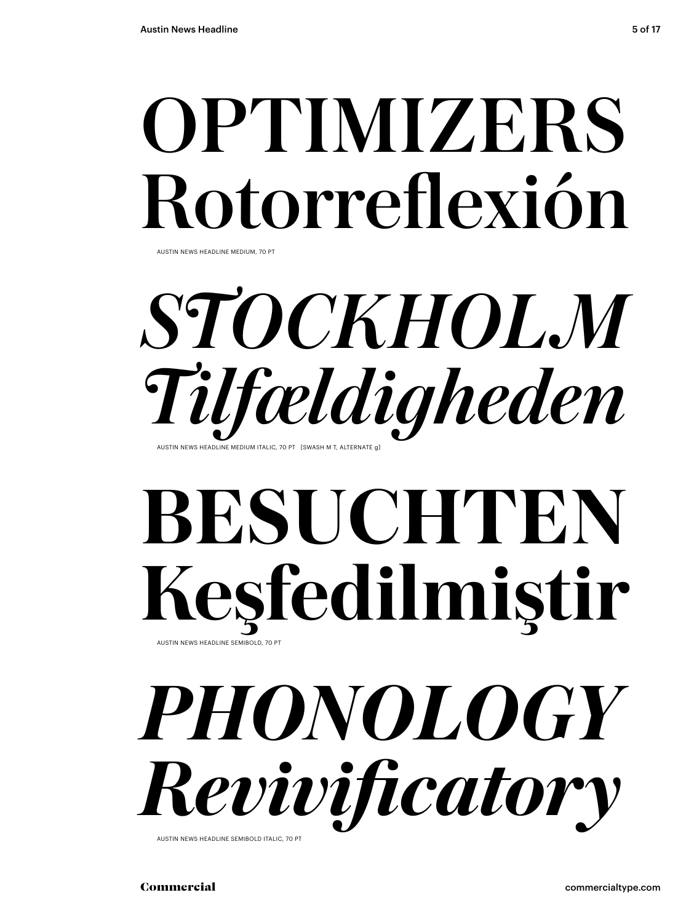# OPTIMIZERS Rotorreflexión

AUSTIN NEWS HEADLINE MEDIUM, 70 PT

## *STOCKHOLM Tilfældigheden* AUSTIN NEWS HEADLINE MEDIUM ITALIC, 70 PT. ISWASH M.T. ALTERNATE G

### **BESUCHTEN Keşfedilmiştir** AUSTIN NEWS HEADLINE SEMIBOLD, 70



AUSTIN NEWS HEADLINE SEMIBOLD ITALIC, 70 PT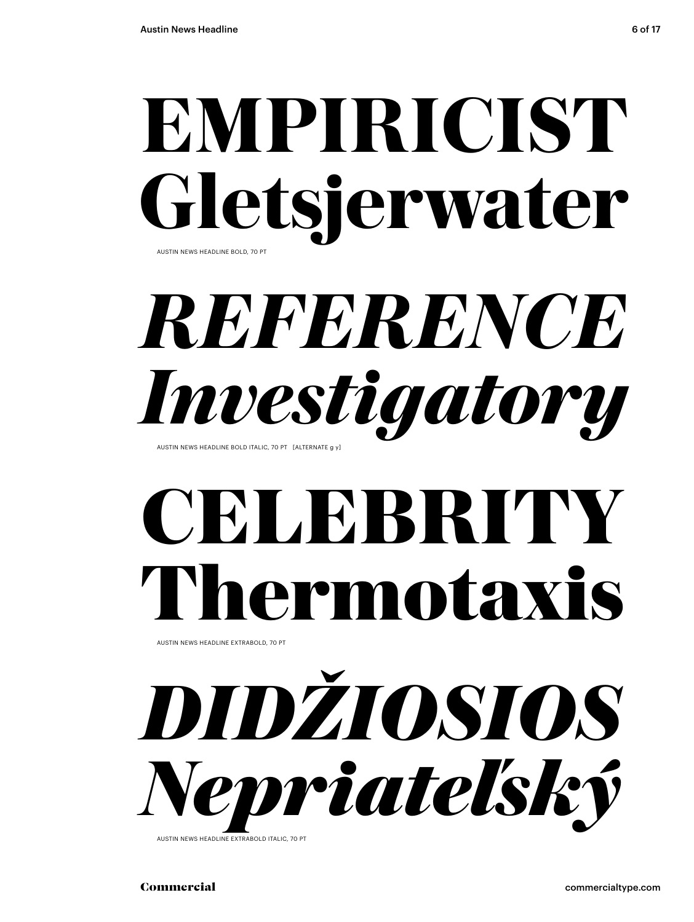# **EMPIRICIST** letsjerwater

AUSTIN NEWS HEADLINE BOLD, 70 PT

### *REFERENCE Investigatory* AUSTIN NEWS HEADLINE BOLD ITALIC, 70 PT [ALTERNATE a y]

# **CELEBRITY Thermotaxis**

AUSTIN NEWS HEADLINE EXTRABOLD, 70 PT

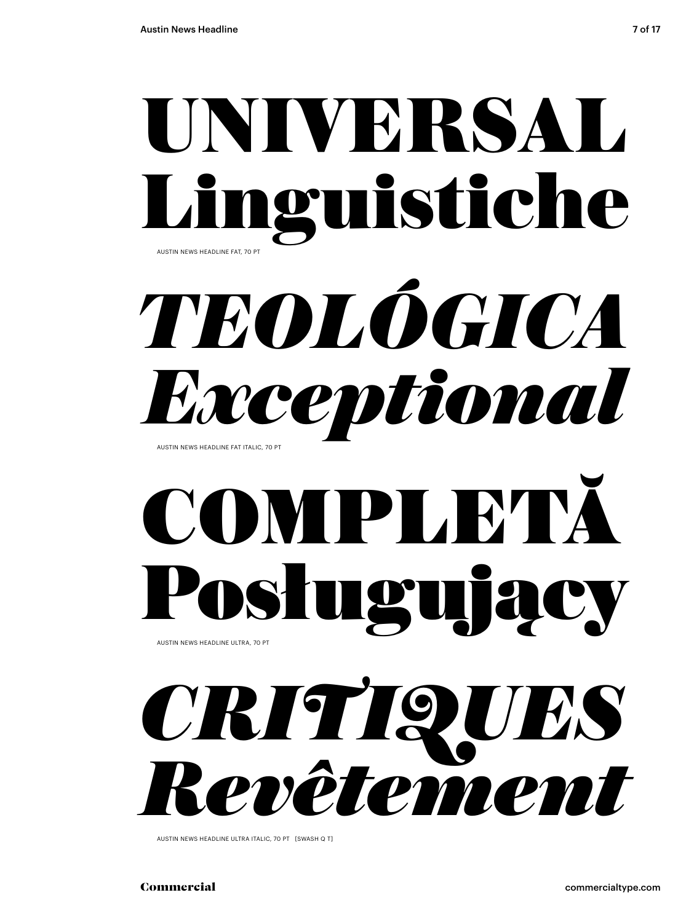

# *TEOLÓGICA Exceptional*

AUSTIN NEWS HEADLINE FAT ITALIC, 70 PT

## COMPLETĂ **Sługujący** AUSTIN NEWS HEADLINE ULTRA, 70 PT



AUSTIN NEWS HEADLINE ULTRA ITALIC, 70 PT [SWASH Q T]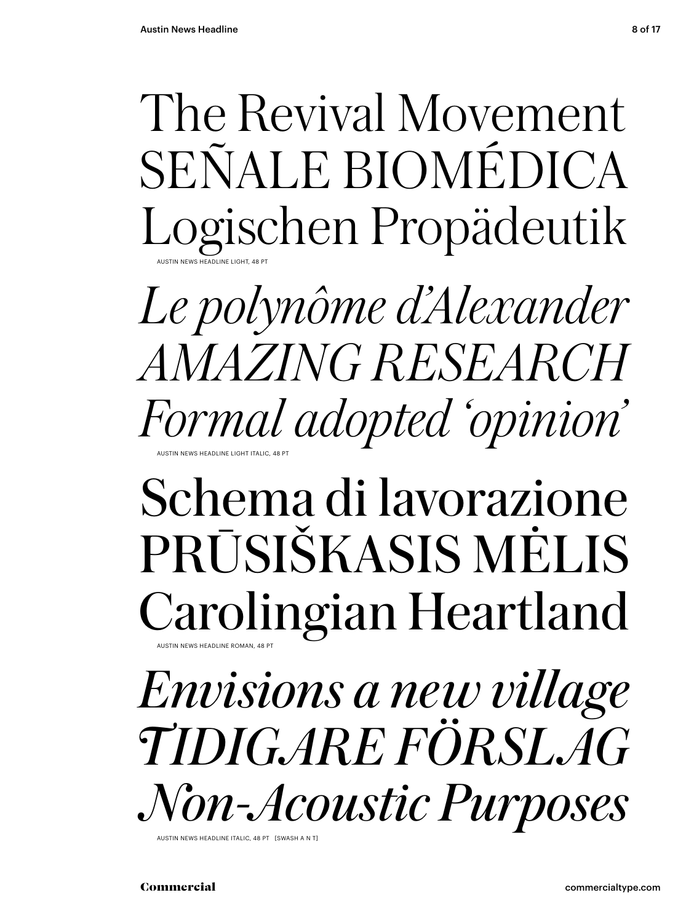The Revival Movement SEÑALE BIOMÉDICA Logischen Propädeutik AUSTIN NEWS HEADLINE LIGHT, 48 PT

*Le polynôme d'Alexander AMAZING RESEARCH Formal adopted 'opinion'* AUSTIN NEWS HEADLINE LIGHT ITALIC, 48 PT

### Schema di lavorazione PRŪSIŠKASIS MĖLIS Carolingian Heartland AUSTIN NEWS HEADLINE ROMAN, 48 PT

*Envisions a new village TIDIGARE FÖRSLAG Non-Acoustic Purposes*

AUSTIN NEWS HEADLINE ITALIC, 48 PT [SWASH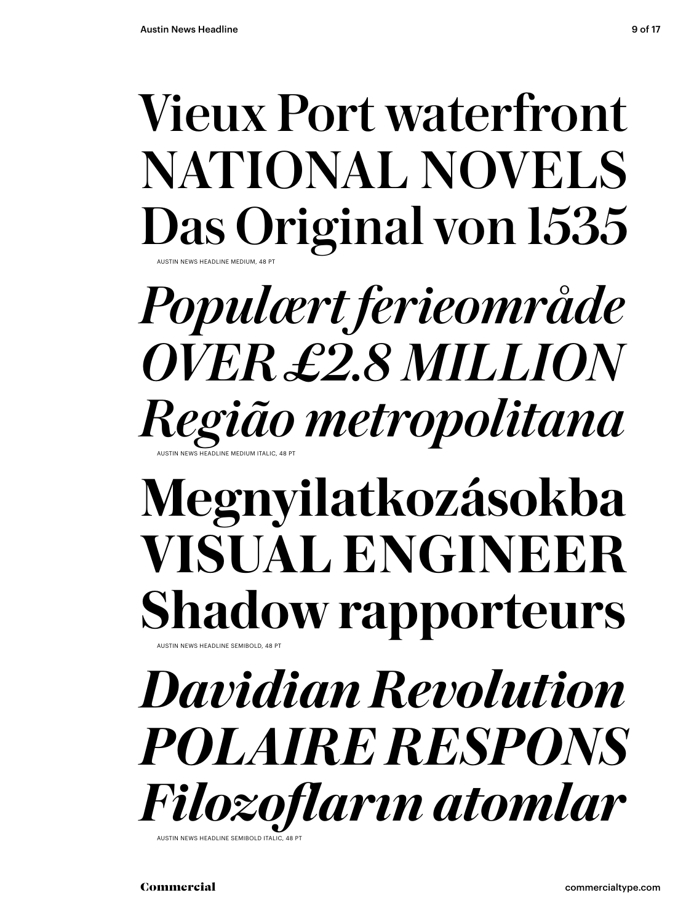### Vieux Port waterfront NATIONAL NOVELS Das Original von 1535 AUSTIN NEWS HEADLINE MEDIUM, 48 PT

*Populært ferieområde OVER £2.8 MILLION Região metropolitana* AUSTIN NEWS HEADLINE MEDIUM ITALIC, 48 PT

### **Megnyilatkozásokba VISUAL ENGINEER Shadow rapporteurs** AUSTIN NEWS HEADLINE SEMIBOLD, 48 PT

*Davidian Revolution POLAIRE RESPONS Filozofların atomlar* AUSTIN NEWS HEADLINE SEMIBOLD ITALI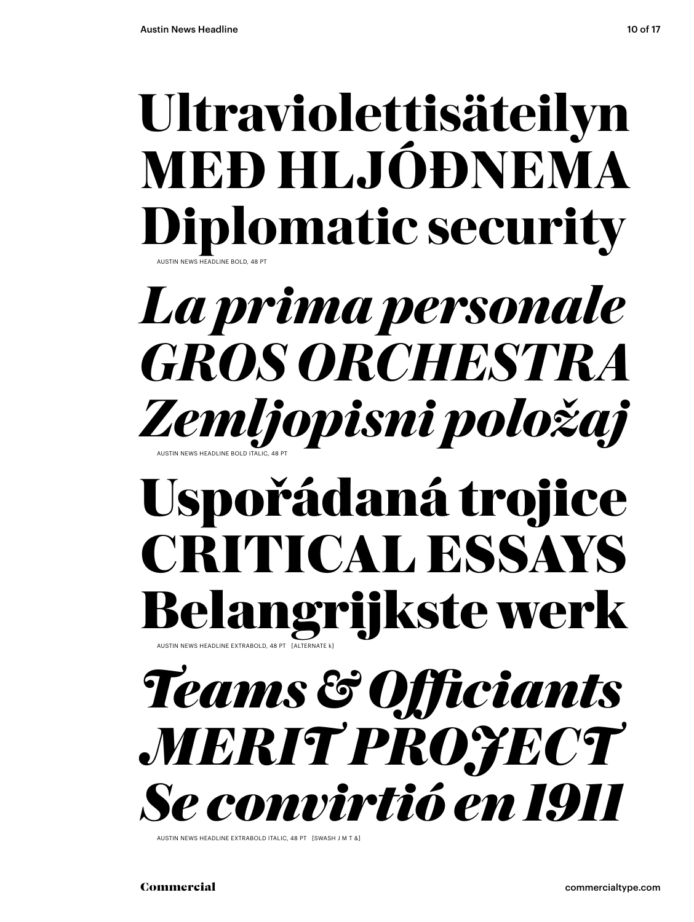AUSTIN NEWS HEADLINE BOLD, 48 PT

## **Ultraviolettisäteilyn MEÐ HLJÓÐNEMA Diplomatic security**

*La prima personale GROS ORCHESTRA Zemljopisni položaj* AUSTIN NEWS HEADLINE BOLD ITALIC, 48 PT

### **Uspořádaná trojice CRITICAL ESSAYS Belangrijkste werk** AUSTIN NEWS HEADLINE EXTRABOLD, 48 PT [ALTERNATE k]

## *Teams & Officiants MERIT PROJECT Se convirtió en 1911*

AUSTIN NEWS HEADLINE EXTRABOLD ITALIC, 48 PT [SWASH J M T &]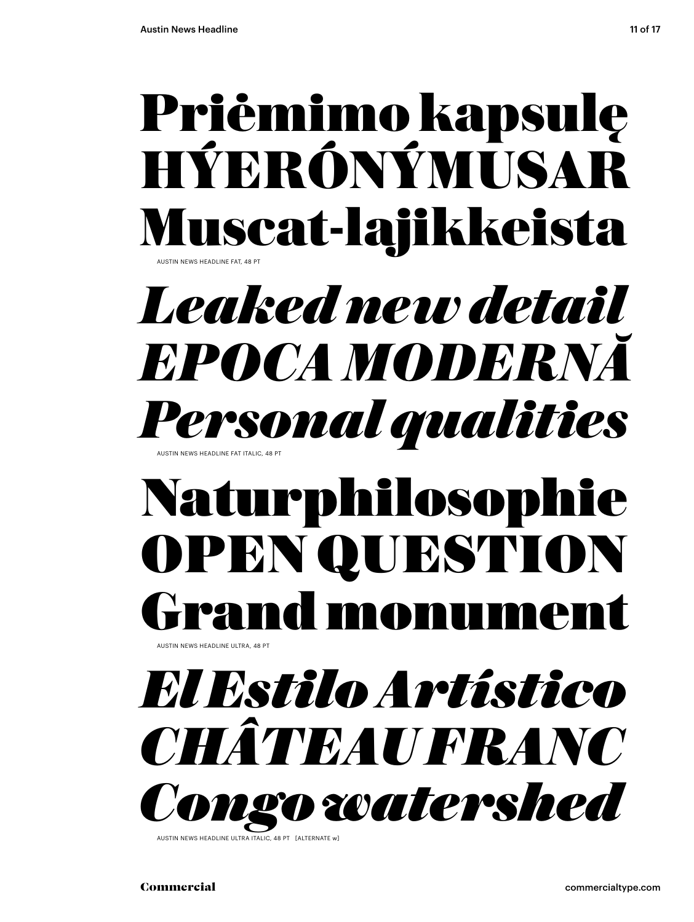### Priėmimo kapsulę HÝERÓNÝMUSAR Muscat-lajikkeista AUSTIN NEWS HEADLINE FAT, 48 PT

### *Leaked new detail EPOCA MODERNĂ Personal qualities* AUSTIN NEWS HEADLINE FAT ITALIC, 48 PT

## Naturphilosophie OPEN QUESTION rand monume

.<br>AUSTIN NEWS HEADLINE ULTRA, 48 PT

*El Estilo Artístico CHÂTEAU FRANC Congo watershed*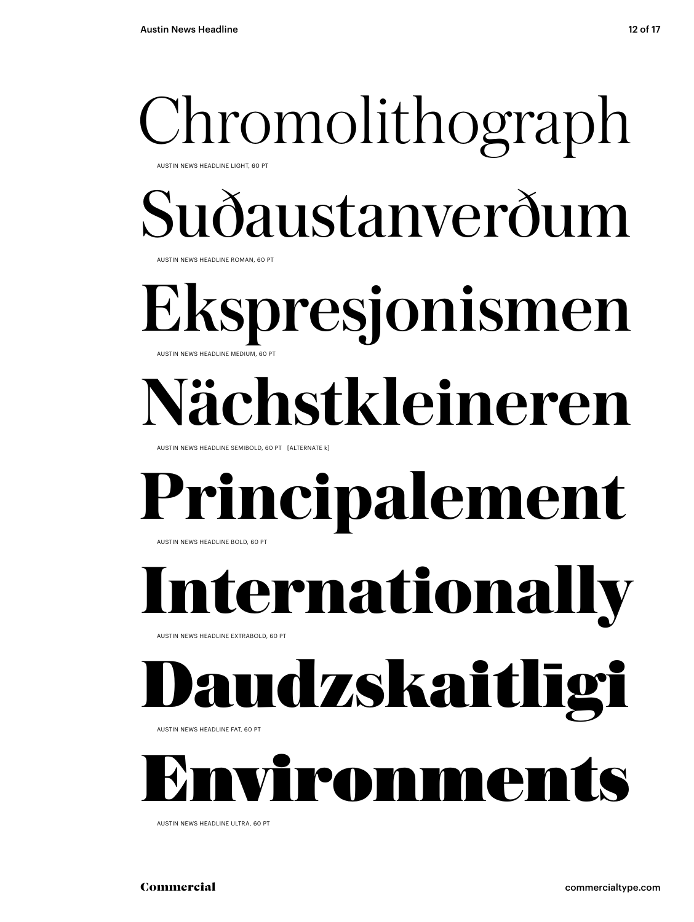### Chromolithograph AUSTIN NEWS HEADLINE LIGHT, 60 PT

Suðaustanverðum

AUSTIN NEWS HEADLINE ROMAN, 60 PT

#### Ekspresjonismen AUSTIN NEWS HEADLINE MEDIUM, 60 PT

# **Nächstkleineren**

AUSTIN NEWS HEADLINE SEMIBOLD, 60 PT [ALTERNATE k]

#### **Principalement** AUSTIN NEWS HEADLINE BOLD, 60 PT

**Iernationally** 

AUSTIN NEWS HEADLINE EXTRABOLD, 60 PT

# udzskaitlīgi

AUSTIN NEWS HEADLINE FAT, 60 PT



AUSTIN NEWS HEADLINE ULTRA, 60 PT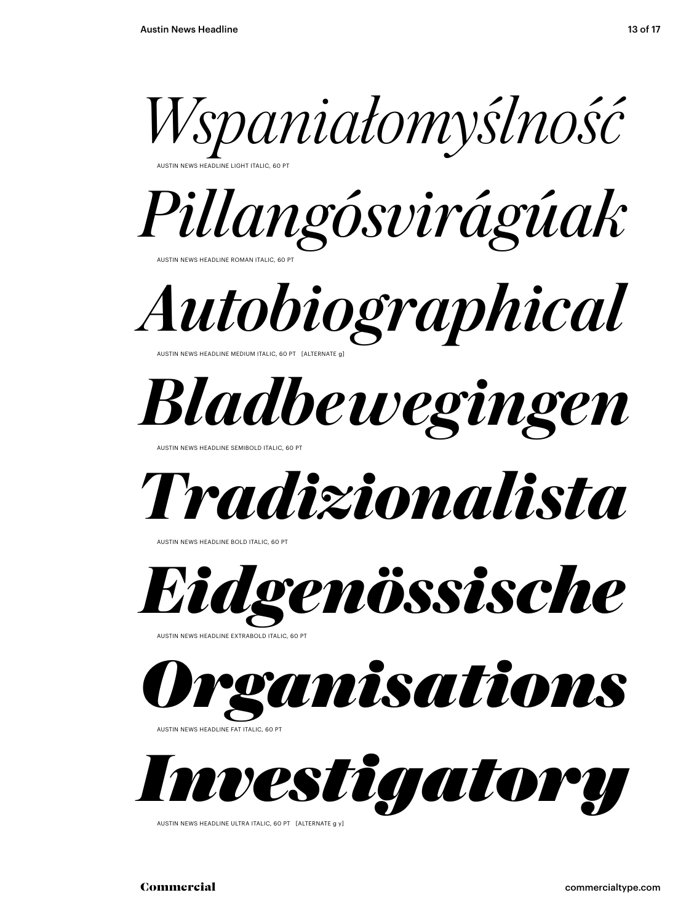

AUSTIN NEWS HEADLINE LIGHT ITALIC, 60 PT



*Autobiographical* AUSTIN NEWS HEADLINE MEDIUM ITALIC, 60 PT [ALTERNATE g]

*Bladbewegingen* 

NEWS HEADLINE SEMIBOLD ITALIC, 60

*Tradizionalista*

AUSTIN NEWS HEADLINE BOLD ITALIC, 60 P



AUSTIN NEWS HEADLINE EXTRABOLD ITALIC, 60 PT



AUSTIN NEWS HEADLINE FAT ITALIC, 60 PT



AUSTIN NEWS HEADLINE ULTRA ITALIC, 60 PT [ALTERNATE g y]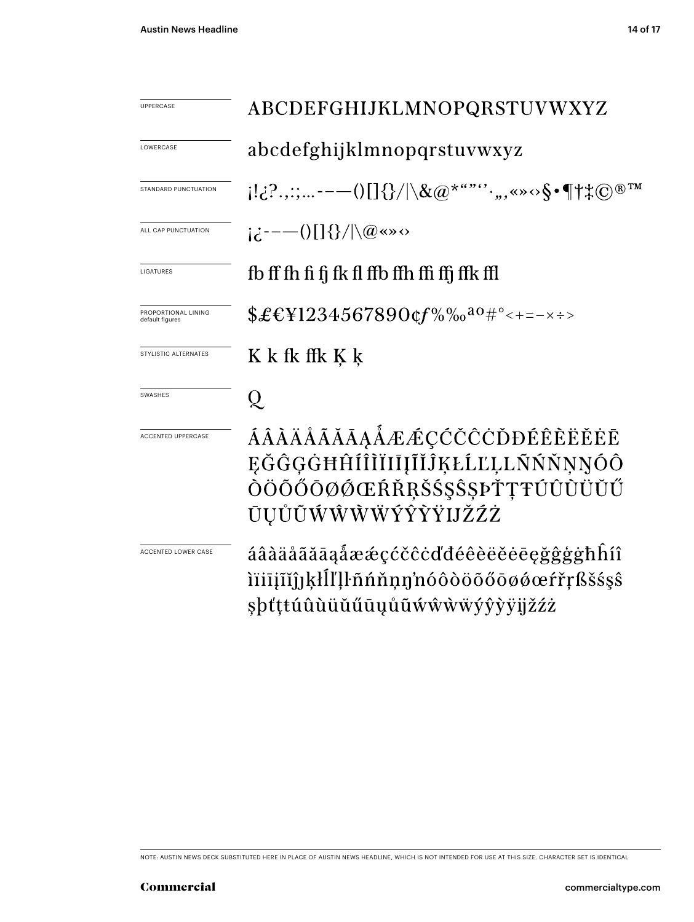| <b>UPPERCASE</b>                       | ABCDEFGHIJKLMNOPQRSTUVWXYZ                                                                                                                                                                                                                   |
|----------------------------------------|----------------------------------------------------------------------------------------------------------------------------------------------------------------------------------------------------------------------------------------------|
| LOWERCASE                              | abcdefghijklmnopqrstuvwxyz                                                                                                                                                                                                                   |
| STANDARD PUNCTUATION                   | $[1\cdot i\cdot ?\cdot ,: \cdot --\cup [\;]\{\}/ \backslash \&\textcircled{a}^{\star\cdot \cdot \cdot \cdot\cdot}\cdot ,\text{,}\text{ and }\text{``} \cdot \text{\$}\cdot \P\!\uparrow\text{*}\textcircled{c}^{\text{}}\text{''}^{\text{}}$ |
| ALL CAP PUNCTUATION                    | $i\partial$ :----()[]{}/ \@«»<>                                                                                                                                                                                                              |
| LIGATURES                              | fb ff fh fi fi fk fl ffb ffh ffi ffi ffk ffl                                                                                                                                                                                                 |
| PROPORTIONAL LINING<br>default figures | $$£EY1234567890$ cf%‰ <sup>ao</sup> #°<+=-×÷>                                                                                                                                                                                                |
| STYLISTIC ALTERNATES                   | K k fk ffk K k                                                                                                                                                                                                                               |
| <b>SWASHES</b>                         | Q.                                                                                                                                                                                                                                           |
| <b>ACCENTED UPPERCASE</b>              | ÁÂÀÄÅÃĂĀĀĄÅÆÆÇĆČĊÒĐÉÊÈËĚĖĒ<br>ĘĞĜĢĠĦĤÍÎÌĬIIĮĨĬĴĶŁĹĽĻĿŇŃŇNNÓÔ<br>ÒÖÕŐŌØØŒŔŘŖŠŚŞŜŞÞŤŢŦÚÛÙÜŬŰ<br>ŪŲŮŨŴŴŴŴÝŶŶŸIJŽŹŻ                                                                                                                              |
| ACCENTED LOWER CASE                    | áâàäåãăāaåææçćčĉċďđéêèëĕēeğĝģġħĥíî<br>iïiījīĭĵJķłĺľļŀñńňņŋ'nóôòöõőōøøœŕřŗßšśşŝ<br>şþťṭŧúûùüŭűūyůũẃŵẁẅýŷỳÿijžźż                                                                                                                               |

NOTE: AUSTIN NEWS DECK SUBSTITUTED HERE IN PLACE OF AUSTIN NEWS HEADLINE, WHICH IS NOT INTENDED FOR USE AT THIS SIZE. CHARACTER SET IS IDENTICAL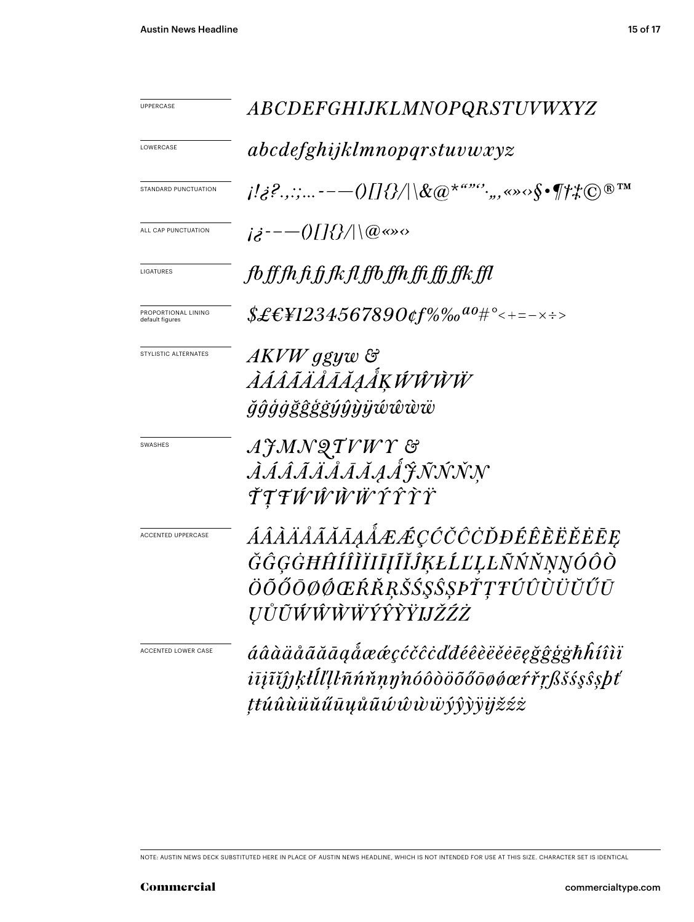| UPPERCASE                              | <i>ABCDEFGHIJKLMNOPQRSTUVWXYZ</i>                                                                                                                                                                                                                                                                                                                                                                                                                  |
|----------------------------------------|----------------------------------------------------------------------------------------------------------------------------------------------------------------------------------------------------------------------------------------------------------------------------------------------------------------------------------------------------------------------------------------------------------------------------------------------------|
| LOWERCASE                              | abcdefghijklmnopqrstuvwxyz                                                                                                                                                                                                                                                                                                                                                                                                                         |
| STANDARD PUNCTUATION                   | $\{ \langle i_{\mathcal{S}}^{j_1}, \ldots \rangle \}_{j_{\mathcal{S}}^{j_{\mathcal{S}}}, \ldots}$ , $\{ \langle j_{\mathcal{S}}^{j_{\mathcal{S}}}\rangle \}_{j_{\mathcal{S}}^{j_{\mathcal{S}}}(\mathbb{R}^{N})}$ , $\langle j_{\mathcal{S}}^{j_{\mathcal{S}}}, \ldots \rangle \}_{j_{\mathcal{S}}^{j_{\mathcal{S}}}(\mathbb{R}^{N})}$ , $\langle j_{\mathcal{S}}^{j_{\mathcal{S}}}, \ldots \rangle \}_{j_{\mathcal{S}}^{j_{\mathcal{S}}}, \ldots}$ |
| ALL CAP PUNCTUATION                    | $i\dot{\delta}^{---}(0[]\{\}/  \langle @\infty \rangle$                                                                                                                                                                                                                                                                                                                                                                                            |
| LIGATURES                              | fb ff fh fi fj fk fl ffb ffh ffi ffj ffk ffl                                                                                                                                                                                                                                                                                                                                                                                                       |
| PROPORTIONAL LINING<br>default figures | $$ \pounds \pounds \pounds \pounds 1234567890$ of %% $^{a_0}$ # $^{\circ}$ < + = – $\times$ $\div$ >                                                                                                                                                                                                                                                                                                                                               |
| STYLISTIC ALTERNATES                   | AKVW ggyw &<br><i>ÀÁÂÃÄÅĀĀĀĀĶŴŴŴ</i><br><i>ğĝģġğĝġġýŷỳÿŵŵw</i>                                                                                                                                                                                                                                                                                                                                                                                     |
| SWASHES                                | AJMNQTVWY &<br><i>ÀÁÂÃÄÄĀĀĄÁ JÑNNN</i><br>ŤŢŦŴŴŴŴŶŶŶŸ                                                                                                                                                                                                                                                                                                                                                                                              |
| ACCENTED UPPERCASE                     | ÁÂÀÄÅÃĂĀĀĄÅÆÆÇĆČĊŎĐÉÊÈËËĒĘ<br>ĞĜĢĠĦĤÍÎÌĬIĪĮĨĬĴĶŁĹĽĻĿÑŃŇŅŊÓÔÒ<br>ÖÕŐŌØØŒŔŘŖŠŚŞŜŞÞŤŢŦÚÛÙÜŬŰŪ<br><i><b>UŮŨŴŴŴŴÝŶŶŸIJŽŹŻ</b></i>                                                                                                                                                                                                                                                                                                                       |
| ACCENTED LOWER CASE                    | áâàäåããāąåææçćčĉċďđéêèëĕēegğĝģġħĥíîìï<br>iījīĭĵĵķŀĺľļŀñńňņŋ'nóôòöõőōøøœŕřŗßšśşŝşþť<br>ţŧúûùüŭűūųůũŵŵŵŵýŷỳÿžźż                                                                                                                                                                                                                                                                                                                                      |

NOTE: AUSTIN NEWS DECK SUBSTITUTED HERE IN PLACE OF AUSTIN NEWS HEADLINE, WHICH IS NOT INTENDED FOR USE AT THIS SIZE. CHARACTER SET IS IDENTICAL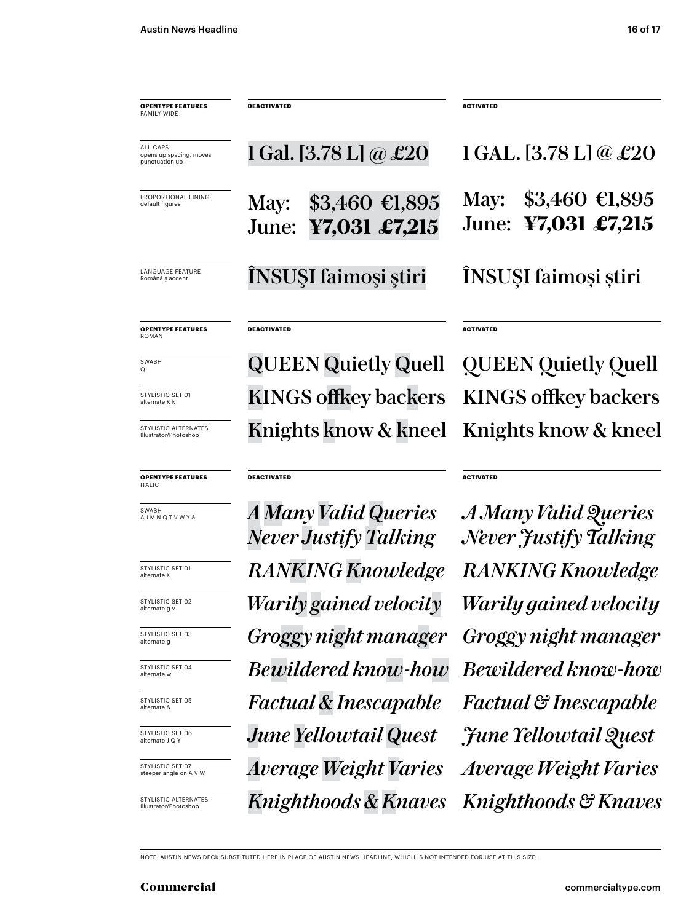LANGUAGE FEATURE<br>Română ș accent ÎNSUŞI faimoşi ştiri ÎNSUŞI faimoşi ştiri PROPORTIONAL LINING default figures ALL CAPS opens up spacing, moves punctuation up May: \$3,460 €1,895 June: **¥7,031 £7,215** 1 Gal. [3.78 L]  $\omega \pounds 20$ May: \$3,460 €1,895 June: **¥7,031 £7,215** 1 GAL. [3.78 L] @ £20 **OPENTYPE FEATURES** FAMILY WIDE **DEACTIVATED ACTIVATED OPENTYPE FEATURES** ROMAN STYLISTIC SET 01 alternate K k SWASH KINGS offkey backers KINGS offkey backers QUEEN Quietly Quell **DEACTIVATED ACTIVATED** QUEEN Quietly Quell

Knights know & kneel Knights know & kneel

**ACTIVATED**

*Knighthoods & Knaves Knighthoods & Knaves Average Weight Varies Factual & Inescapable Bewildered know-how Warily gained velocity Warily gained velocity RANKING Knowledge A Many Valid Queries Never Justify Talking Groggy night manager June Yellowtail Quest*

NOTE: AUSTIN NEWS DECK SUBSTITUTED HERE IN PLACE OF AUSTIN NEWS HEADLINE, WHICH IS NOT INTENDED FOR USE AT THIS SIZE.

*RANKING Knowledge*

*A Many Valid Queries*

**DEACTIVATED**

*Never Justify Talking*

*Bewildered know-how*

*Groggy night manager*

*Factual & Inescapable*

*June Yellowtail Quest*

*Average Weight Varies*

**OPENTYPE FEATURES**

STYLISTIC ALTERNATES Illustrator/Photoshop

STYLISTIC SET 01 alternate K

STYLISTIC SET 02 alternate g y

STYLISTIC SET 03 alternate g

STYLISTIC SET 04 alternate w

STYLISTIC SET 05 alternate &

STYLISTIC SET 06 alternate J Q Y

STYLISTIC SET 07 steeper angle on A V W

STYLISTIC ALTERNATES Illustrator/Photoshop

**ITALIC** 

Q

SWASH A J M N Q T V W Y &